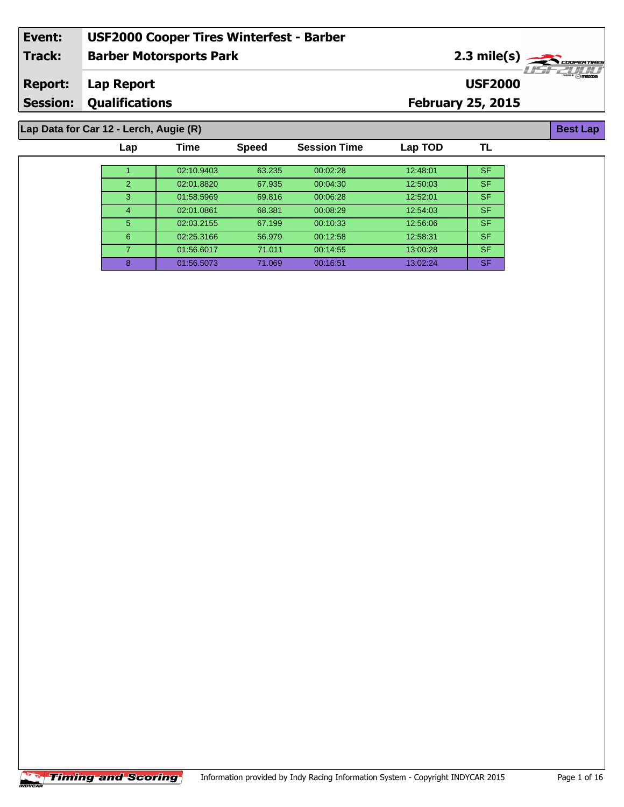#### **Barber Motorsports Park Lap Report February 25, 2015 Event: USF2000 Cooper Tires Winterfest - Barber Track: Report: Session: Qualifications USF2000** 2.3 mile(s) **Best Lap Lap Data for Car 12 - Lerch, Augie (R)**

| Lap           | Time       | <b>Speed</b> | <b>Session Time</b> | Lap TOD  | TL        |
|---------------|------------|--------------|---------------------|----------|-----------|
|               |            |              |                     |          |           |
|               | 02:10.9403 | 63.235       | 00:02:28            | 12:48:01 | SF.       |
| $\mathcal{P}$ | 02:01.8820 | 67.935       | 00:04:30            | 12:50:03 | <b>SF</b> |
| 3             | 01:58.5969 | 69.816       | 00:06:28            | 12:52:01 | SF/       |
| 4             | 02:01.0861 | 68.381       | 00:08:29            | 12:54:03 | SF.       |
| 5             | 02:03.2155 | 67.199       | 00:10:33            | 12:56:06 | <b>SF</b> |
| 6             | 02:25.3166 | 56.979       | 00:12:58            | 12:58:31 | <b>SF</b> |
|               | 01:56.6017 | 71.011       | 00:14:55            | 13:00:28 | SF.       |
| 8             | 01:56.5073 | 71.069       | 00:16:51            | 13:02:24 | SF.       |

 $\overline{\phantom{a}}$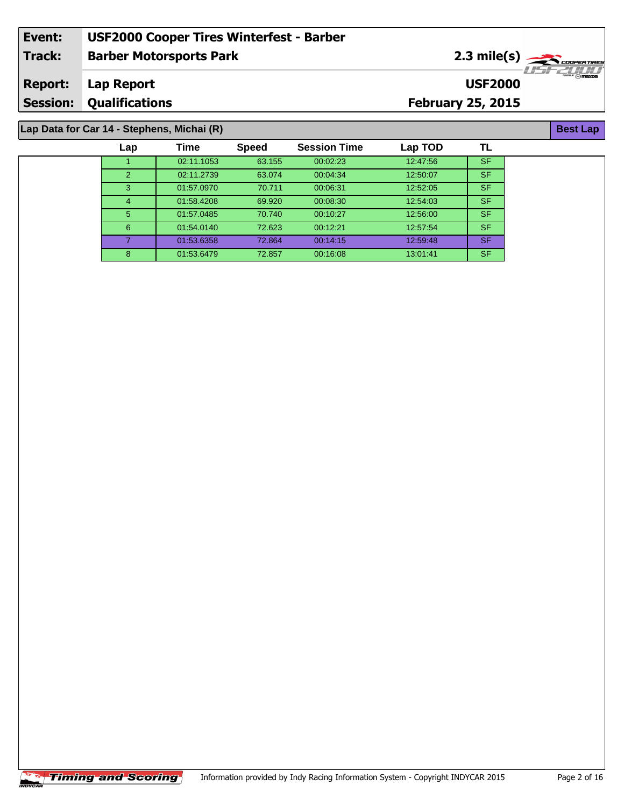| Event:         | <b>USF2000 Cooper Tires Winterfest - Barber</b>               |                          |                                                             |  |  |
|----------------|---------------------------------------------------------------|--------------------------|-------------------------------------------------------------|--|--|
| <b>Track:</b>  | <b>Barber Motorsports Park</b>                                |                          | $2.3$ mile(s) $\rightarrow$ Cooper Tires<br><i>HSEZHI</i> I |  |  |
| <b>Report:</b> | Lap Report                                                    | <b>USF2000</b>           | $m$ $\approx$ $m$ $\approx$ $m$                             |  |  |
|                | <b>Session: Qualifications</b>                                | <b>February 25, 2015</b> |                                                             |  |  |
|                |                                                               |                          |                                                             |  |  |
|                | Lap Data for Car 14 - Stephens, Michai (R)<br><b>Best Lap</b> |                          |                                                             |  |  |

| Lap | Time       | <b>Speed</b> | <b>Session Time</b> | Lap TOD  | ΤL        |  |
|-----|------------|--------------|---------------------|----------|-----------|--|
|     | 02:11.1053 | 63.155       | 00:02:23            | 12:47:56 | <b>SF</b> |  |
| 2   | 02:11.2739 | 63.074       | 00:04:34            | 12:50:07 | <b>SF</b> |  |
| 3   | 01:57.0970 | 70.711       | 00:06:31            | 12:52:05 | <b>SF</b> |  |
| 4   | 01:58.4208 | 69.920       | 00:08:30            | 12:54:03 | <b>SF</b> |  |
| 5   | 01:57.0485 | 70.740       | 00:10:27            | 12:56:00 | <b>SF</b> |  |
| 6   | 01:54.0140 | 72.623       | 00:12:21            | 12:57:54 | <b>SF</b> |  |
|     | 01:53.6358 | 72.864       | 00:14:15            | 12:59:48 | <b>SF</b> |  |
| 8   | 01:53.6479 | 72.857       | 00:16:08            | 13:01:41 | <b>SF</b> |  |

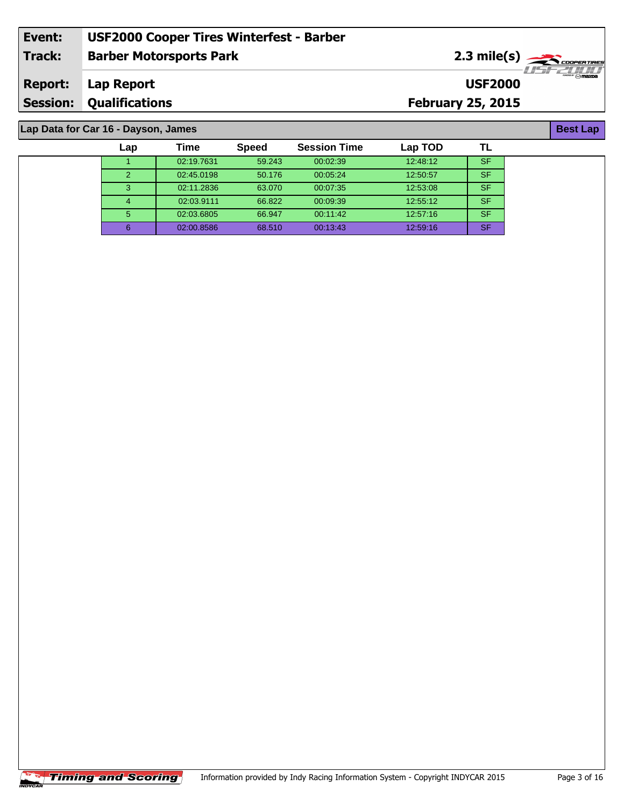| Event:  | <b>USF2000 Cooper Tires Winterfest - Barber</b> |                                                                                                                                                                                                                                                                                                                                                                                                                                   |
|---------|-------------------------------------------------|-----------------------------------------------------------------------------------------------------------------------------------------------------------------------------------------------------------------------------------------------------------------------------------------------------------------------------------------------------------------------------------------------------------------------------------|
| Track:  | <b>Barber Motorsports Park</b>                  | $2.3$ mile(s) $\overbrace{\hspace{2.5cm}}$ $\overbrace{\hspace{2.5cm}}$ $\overbrace{\hspace{2.5cm}}$ $\overbrace{\hspace{2.5cm}}$ $\overbrace{\hspace{2.5cm}}$ $\overbrace{\hspace{2.5cm}}$ $\overbrace{\hspace{2.5cm}}$ $\overbrace{\hspace{2.5cm}}$ $\overbrace{\hspace{2.5cm}}$ $\overbrace{\hspace{2.5cm}}$ $\overbrace{\hspace{2.5cm}}$ $\overbrace{\hspace{2.5cm}}$ $\overbrace{\hspace{2.5cm}}$ $\overbrace{\hspace{2.5cm$ |
| Report: | Lap Report                                      | <b>M</b> mazna<br><b>USF2000</b>                                                                                                                                                                                                                                                                                                                                                                                                  |
|         | <b>Session: Qualifications</b>                  | <b>February 25, 2015</b>                                                                                                                                                                                                                                                                                                                                                                                                          |
|         |                                                 |                                                                                                                                                                                                                                                                                                                                                                                                                                   |

1 02:19.7631 59.243 00:02:39 12:48:12 SF 02:45.0198 50.176 00:05:24 12:50:57 SF 02:11.2836 63.070 00:07:35 12:53:08 SF 02:03.9111 66.822 00:09:39 12:55:12 SF 02:03.6805 66.947 00:11:42 12:57:16 SF 02:00.8586 68.510 00:13:43 12:59:16 SF

**Lap Time Speed Session Time Lap TOD**

#### **Lap Data for Car 16 - Dayson, James**

**Best Lap**

**TL**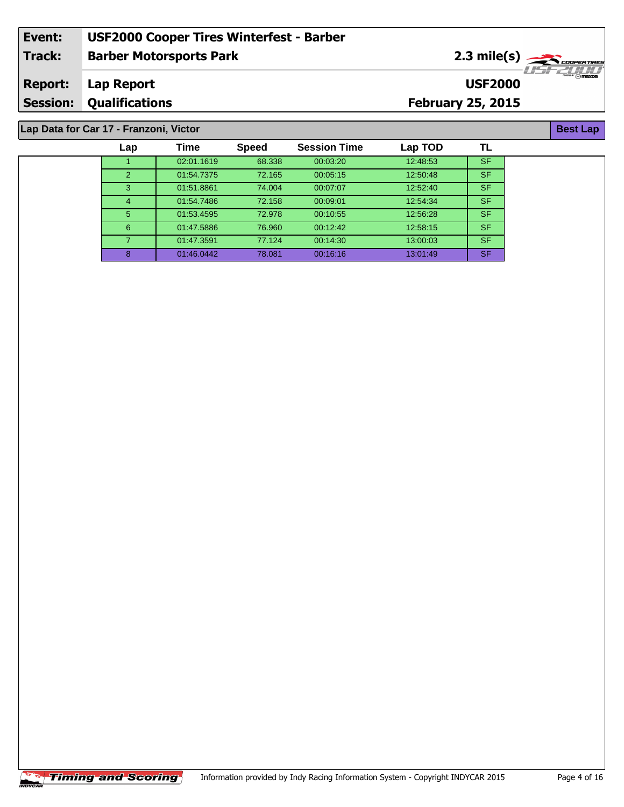| Event:         | <b>USF2000 Cooper Tires Winterfest - Barber</b> |                                          |                                         |
|----------------|-------------------------------------------------|------------------------------------------|-----------------------------------------|
| Track:         | <b>Barber Motorsports Park</b>                  | $2.3$ mile(s) $\rightarrow$ COOPER TIRES | 775277777                               |
| <b>Report:</b> | Lap Report                                      | <b>USF2000</b>                           | $\mathbb{R}^m \otimes \mathbb{R}$ mazna |
|                | <b>Session: Qualifications</b>                  | <b>February 25, 2015</b>                 |                                         |
|                |                                                 |                                          |                                         |
|                | Lap Data for Car 17 - Franzoni, Victor          |                                          | <b>Best Lap</b>                         |

# **Lap Data for Car 17 - Franzoni, Victor**

 $MIXCAB$ 

| $\mathsf{Lap}$ | Time       | <b>Speed</b> | <b>Session Time</b> | Lap TOD  |           |
|----------------|------------|--------------|---------------------|----------|-----------|
|                | 02:01.1619 | 68.338       | 00:03:20            | 12:48:53 | <b>SF</b> |
| $\overline{2}$ | 01:54.7375 | 72.165       | 00:05:15            | 12:50:48 | <b>SF</b> |
| 3              | 01:51.8861 | 74.004       | 00:07:07            | 12:52:40 | <b>SF</b> |
| $\overline{4}$ | 01:54.7486 | 72.158       | 00:09:01            | 12:54:34 | <b>SF</b> |
| 5              | 01:53.4595 | 72.978       | 00:10:55            | 12:56:28 | <b>SF</b> |
| 6              | 01:47.5886 | 76.960       | 00:12:42            | 12:58:15 | <b>SF</b> |
| 7.             | 01:47.3591 | 77.124       | 00:14:30            | 13:00:03 | <b>SF</b> |
| 8              | 01:46.0442 | 78.081       | 00:16:16            | 13:01:49 | <b>SF</b> |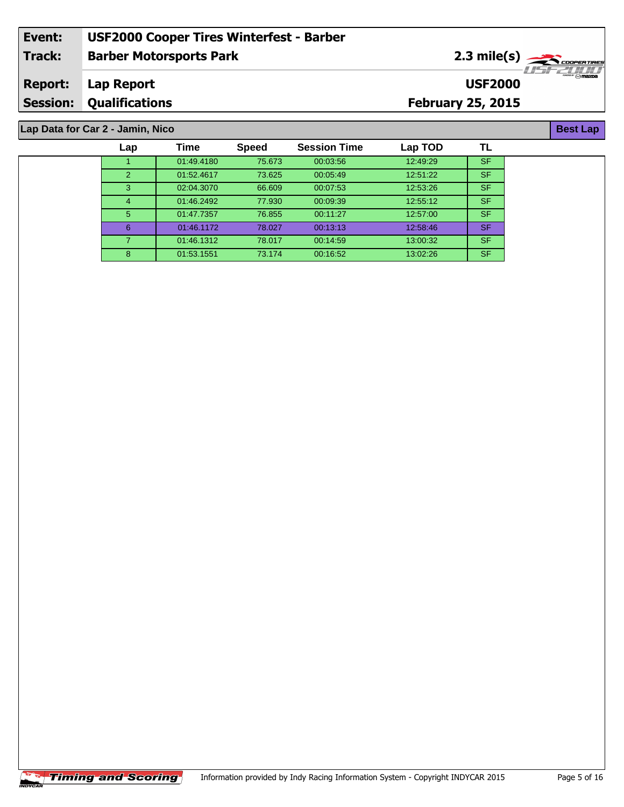| Event:         | <b>USF2000 Cooper Tires Winterfest - Barber</b> |                                                       |                        |
|----------------|-------------------------------------------------|-------------------------------------------------------|------------------------|
| Track:         | <b>Barber Motorsports Park</b>                  | $2.3$ mile(s) $\frac{1}{\sqrt{2.560 \text{ FWHM}^2}}$ |                        |
| <b>Report:</b> | Lap Report                                      | <b>USF2000</b>                                        | <b>SHORE TO MARGIN</b> |
|                | <b>Session: Qualifications</b>                  | <b>February 25, 2015</b>                              |                        |
|                |                                                 |                                                       |                        |

# **Lap Data for Car 2 - Jamin, Nico**

| Lap            | Time       | <b>Speed</b> | <b>Session Time</b> | Lap TOD  | TL        |  |
|----------------|------------|--------------|---------------------|----------|-----------|--|
|                | 01:49.4180 | 75.673       | 00:03:56            | 12:49:29 | <b>SF</b> |  |
| $\overline{2}$ | 01:52.4617 | 73.625       | 00:05:49            | 12:51:22 | <b>SF</b> |  |
| 3              | 02:04.3070 | 66.609       | 00:07:53            | 12:53:26 | <b>SF</b> |  |
| $\overline{4}$ | 01:46.2492 | 77.930       | 00:09:39            | 12:55:12 | <b>SF</b> |  |
| 5              | 01:47.7357 | 76.855       | 00:11:27            | 12:57:00 | <b>SF</b> |  |
| 6              | 01:46.1172 | 78.027       | 00:13:13            | 12:58:46 | <b>SF</b> |  |
|                | 01:46.1312 | 78.017       | 00:14:59            | 13:00:32 | <b>SF</b> |  |
| 8              | 01:53.1551 | 73.174       | 00:16:52            | 13:02:26 | <b>SF</b> |  |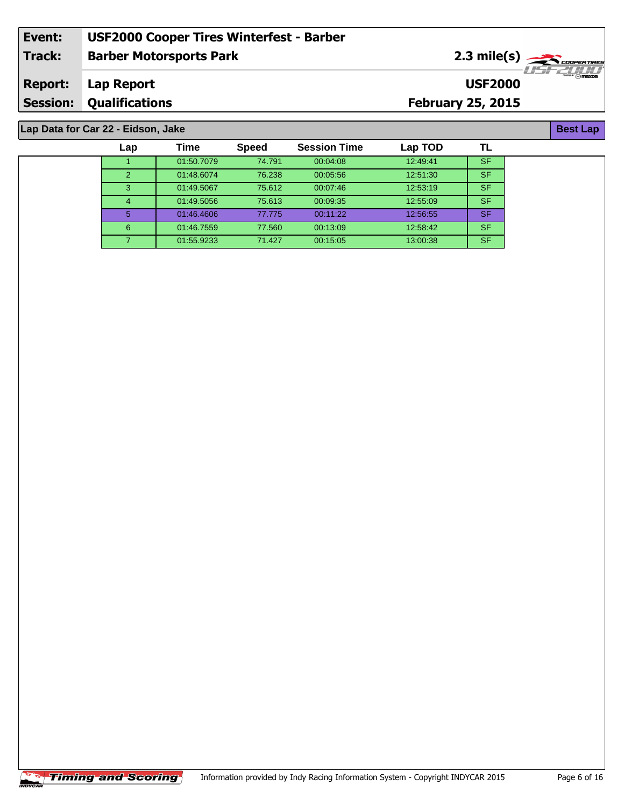|         | <b>Session: Qualifications</b>                  | <b>February 25, 2015</b>                                  |                             |
|---------|-------------------------------------------------|-----------------------------------------------------------|-----------------------------|
| Report: | Lap Report                                      | <b>USF2000</b>                                            | <b>SECTION IN THE STATE</b> |
| Track:  | <b>Barber Motorsports Park</b>                  | $2.3$ mile(s) $\frac{1}{\sqrt{2.56} \text{200} \text{C}}$ |                             |
| Event:  | <b>USF2000 Cooper Tires Winterfest - Barber</b> |                                                           |                             |

### **Lap Data for Car 22 - Eidson, Jake**

| Lap            | Time       | <b>Speed</b> | <b>Session Time</b> | Lap TOD  |           |
|----------------|------------|--------------|---------------------|----------|-----------|
|                | 01:50.7079 | 74.791       | 00:04:08            | 12:49:41 | SF        |
| $\overline{2}$ | 01:48.6074 | 76.238       | 00:05:56            | 12:51:30 | <b>SF</b> |
| 3              | 01:49.5067 | 75.612       | 00:07:46            | 12:53:19 | SF        |
| 4              | 01:49.5056 | 75.613       | 00:09:35            | 12:55:09 | <b>SF</b> |
| 5.             | 01:46.4606 | 77.775       | 00:11:22            | 12:56:55 | <b>SF</b> |
| 6              | 01:46.7559 | 77.560       | 00:13:09            | 12:58:42 | <b>SF</b> |
|                | 01:55.9233 | 71.427       | 00:15:05            | 13:00:38 | <b>SF</b> |

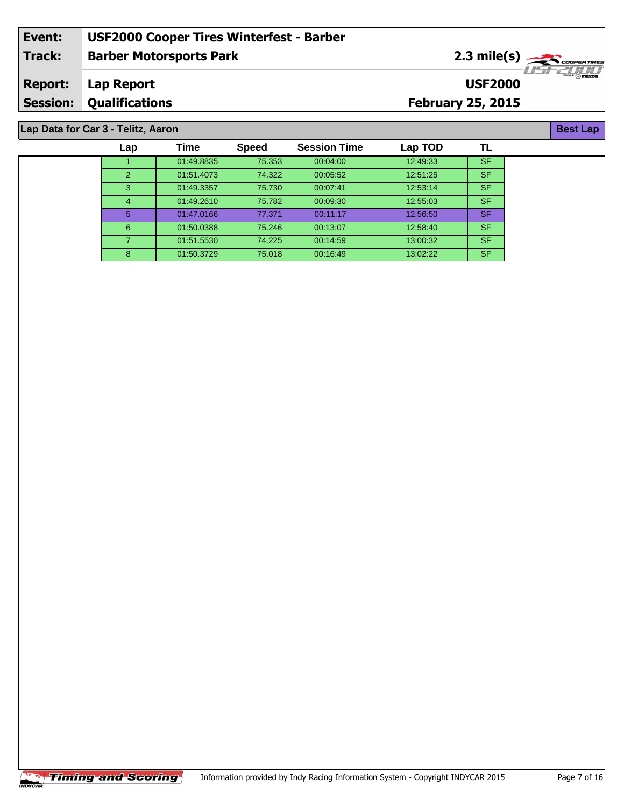| Event:         | <b>USF2000 Cooper Tires Winterfest - Barber</b> |                                    |
|----------------|-------------------------------------------------|------------------------------------|
| Track:         | <b>Barber Motorsports Park</b>                  | $2.3$ mile(s) $\sum$ coorer Tires  |
| <b>Report:</b> | Lap Report                                      | $\sqrt{m}$ mazpa<br><b>USF2000</b> |
|                | <b>Session: Qualifications</b>                  | <b>February 25, 2015</b>           |
|                |                                                 |                                    |

#### **Lap Data for Car 3 - Telitz, Aaron**

| Lap            | Time       | <b>Speed</b> | <b>Session Time</b> | Lap TOD  | TL        |  |
|----------------|------------|--------------|---------------------|----------|-----------|--|
|                | 01:49.8835 | 75.353       | 00:04:00            | 12:49:33 | <b>SF</b> |  |
| $\overline{2}$ | 01:51.4073 | 74.322       | 00:05:52            | 12:51:25 | <b>SF</b> |  |
| 3              | 01:49.3357 | 75.730       | 00:07:41            | 12:53:14 | <b>SF</b> |  |
| $\overline{4}$ | 01:49.2610 | 75.782       | 00:09:30            | 12:55:03 | <b>SF</b> |  |
| $\overline{5}$ | 01:47.0166 | 77.371       | 00:11:17            | 12:56:50 | SF.       |  |
| 6              | 01:50.0388 | 75.246       | 00:13:07            | 12:58:40 | <b>SF</b> |  |
|                | 01:51.5530 | 74.225       | 00:14:59            | 13:00:32 | <b>SF</b> |  |
| 8              | 01:50.3729 | 75.018       | 00:16:49            | 13:02:22 | <b>SF</b> |  |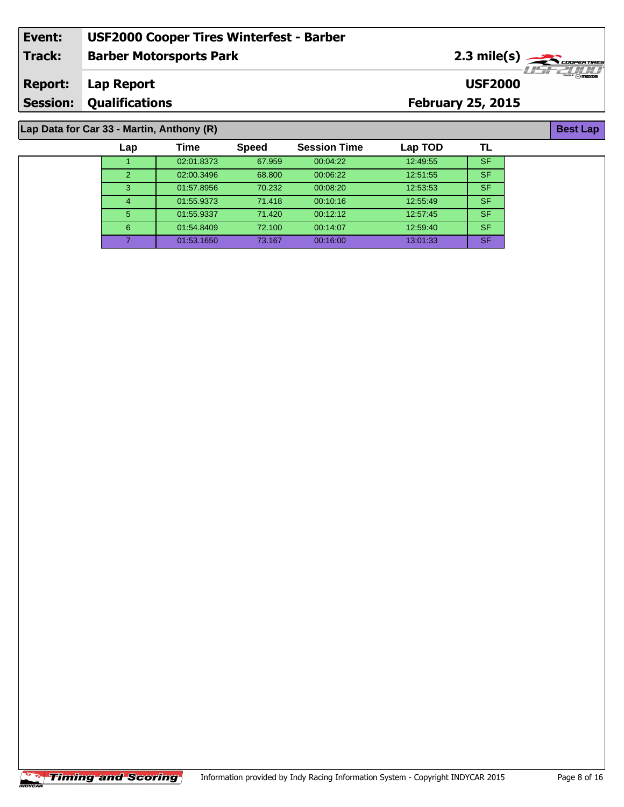| Event:          | <b>USF2000 Cooper Tires Winterfest - Barber</b> |                          |                                                      |
|-----------------|-------------------------------------------------|--------------------------|------------------------------------------------------|
| <b>Track:</b>   | <b>Barber Motorsports Park</b>                  |                          | $2.3$ mile(s) $\rightarrow$ CODPERTIRES<br>777771111 |
| <b>Report:</b>  | Lap Report                                      | <b>USF2000</b>           | <sup>ee</sup> ∞ mazna                                |
| <b>Session:</b> | <b>Qualifications</b>                           | <b>February 25, 2015</b> |                                                      |
|                 |                                                 |                          |                                                      |
|                 | Lap Data for Car 33 - Martin, Anthony (R)       |                          | <b>Best Lap</b>                                      |

| $P^{\text{max}}$ ive var vversione and the set of $P$ |     |            |              |                     |          |           |  |
|-------------------------------------------------------|-----|------------|--------------|---------------------|----------|-----------|--|
|                                                       | Lap | Time       | <b>Speed</b> | <b>Session Time</b> | Lap TOD  |           |  |
|                                                       |     | 02:01.8373 | 67.959       | 00:04:22            | 12:49:55 | <b>SF</b> |  |
|                                                       | 2   | 02:00.3496 | 68,800       | 00:06:22            | 12:51:55 | <b>SF</b> |  |
|                                                       | 3   | 01:57.8956 | 70.232       | 00:08:20            | 12:53:53 | <b>SF</b> |  |
|                                                       | 4   | 01:55.9373 | 71.418       | 00:10:16            | 12:55:49 | <b>SF</b> |  |
|                                                       | 5   | 01:55.9337 | 71.420       | 00:12:12            | 12:57:45 | <b>SF</b> |  |
|                                                       | 6   | 01:54.8409 | 72.100       | 00:14:07            | 12:59:40 | <b>SF</b> |  |
|                                                       |     | 01:53.1650 | 73.167       | 00:16:00            | 13:01:33 | <b>SF</b> |  |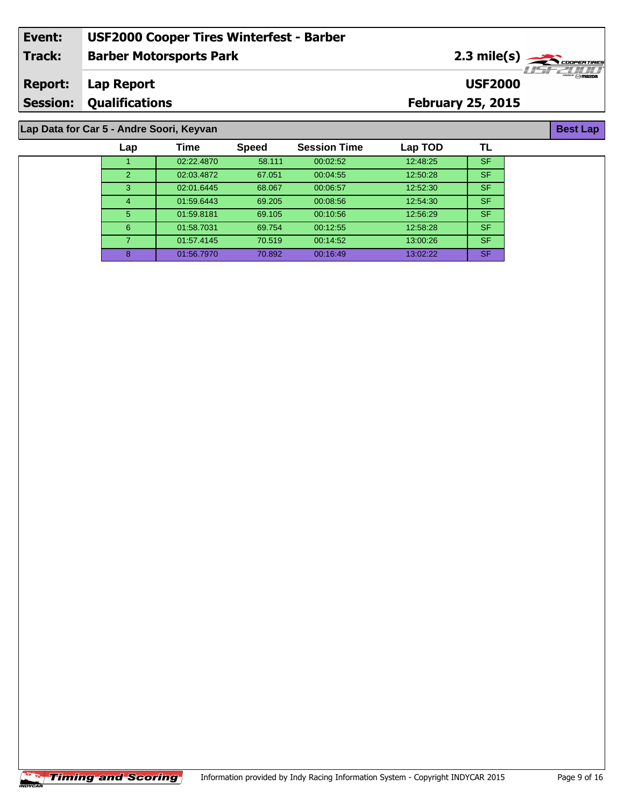| Event:         | <b>USF2000 Cooper Tires Winterfest - Barber</b> |                          |                  |
|----------------|-------------------------------------------------|--------------------------|------------------|
| Track:         | <b>Barber Motorsports Park</b>                  | $2.3 \text{ mile(s)}$    | <u>USFZIJIJI</u> |
| <b>Report:</b> | Lap Report                                      | <b>USF2000</b>           | $\sim$ mazna     |
|                | <b>Session: Qualifications</b>                  | <b>February 25, 2015</b> |                  |
|                |                                                 |                          |                  |
|                | Lap Data for Car 5 - Andre Soori, Keyvan        |                          | <b>Best Lap</b>  |

| Lap Data for Car 5 - Andre Soori, Keyvan |     |            |              |                     |          |           |  |
|------------------------------------------|-----|------------|--------------|---------------------|----------|-----------|--|
|                                          | Lap | Time       | <b>Speed</b> | <b>Session Time</b> | Lap TOD  | TL        |  |
|                                          |     | 02:22.4870 | 58.111       | 00:02:52            | 12:48:25 | SF.       |  |
|                                          | 2   | 02:03.4872 | 67.051       | 00:04:55            | 12:50:28 | <b>SF</b> |  |
|                                          | 3   | 02:01.6445 | 68.067       | 00:06:57            | 12:52:30 | <b>SF</b> |  |
|                                          | 4   | 01:59.6443 | 69.205       | 00:08:56            | 12:54:30 | SF.       |  |
|                                          | 5   | 01:59.8181 | 69.105       | 00:10:56            | 12:56:29 | SF.       |  |
|                                          | 6   | 01:58.7031 | 69.754       | 00:12:55            | 12:58:28 | <b>SF</b> |  |
|                                          |     | 01:57.4145 | 70.519       | 00:14:52            | 13:00:26 | SF.       |  |
|                                          | 8   | 01:56.7970 | 70.892       | 00:16:49            | 13:02:22 | SF.       |  |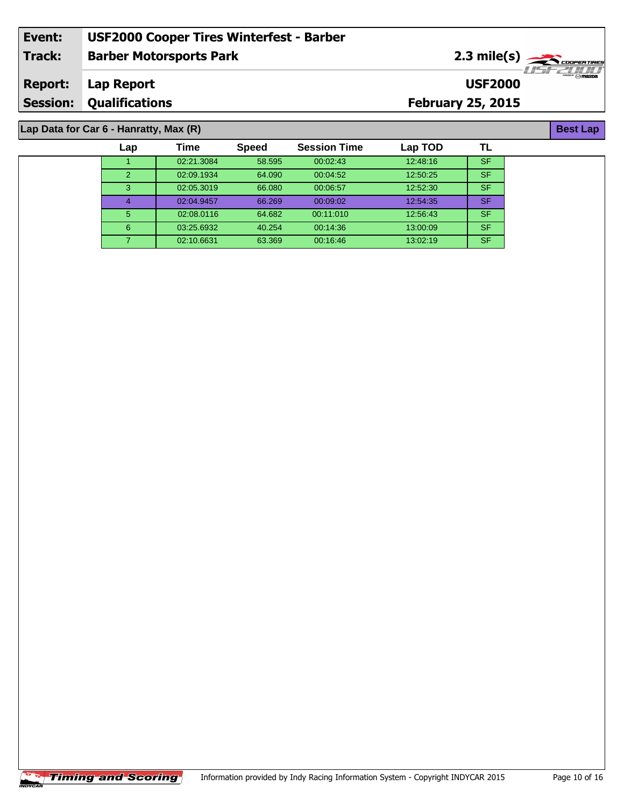| Event:          | <b>USF2000 Cooper Tires Winterfest - Barber</b> |                                                                            |  |
|-----------------|-------------------------------------------------|----------------------------------------------------------------------------|--|
| Track:          | <b>Barber Motorsports Park</b>                  | $2.3 \text{ mile(s)} \longrightarrow \text{Coneerimes}$<br><i>-USFZUUT</i> |  |
| Report:         | Lap Report                                      | ‴ ନmazoa<br><b>USF2000</b>                                                 |  |
| <b>Session:</b> | <b>Qualifications</b>                           | <b>February 25, 2015</b>                                                   |  |
|                 |                                                 |                                                                            |  |

### **Lap Data for Car 6 - Hanratty, Max (R)**

| Lap           | Time       | <b>Speed</b> | <b>Session Time</b> | Lap TOD  |           |  |
|---------------|------------|--------------|---------------------|----------|-----------|--|
|               | 02:21.3084 | 58.595       | 00:02:43            | 12:48:16 | <b>SF</b> |  |
| $\mathcal{P}$ | 02:09.1934 | 64.090       | 00:04:52            | 12:50:25 | <b>SF</b> |  |
| 3             | 02:05.3019 | 66,080       | 00:06:57            | 12:52:30 | <b>SF</b> |  |
| 4             | 02:04.9457 | 66.269       | 00:09:02            | 12:54:35 | <b>SF</b> |  |
| 5             | 02:08.0116 | 64.682       | 00:11:010           | 12:56:43 | <b>SF</b> |  |
| 6             | 03:25.6932 | 40.254       | 00:14:36            | 13:00:09 | <b>SF</b> |  |
| ⇁             | 02:10.6631 | 63.369       | 00:16:46            | 13:02:19 | <b>SF</b> |  |

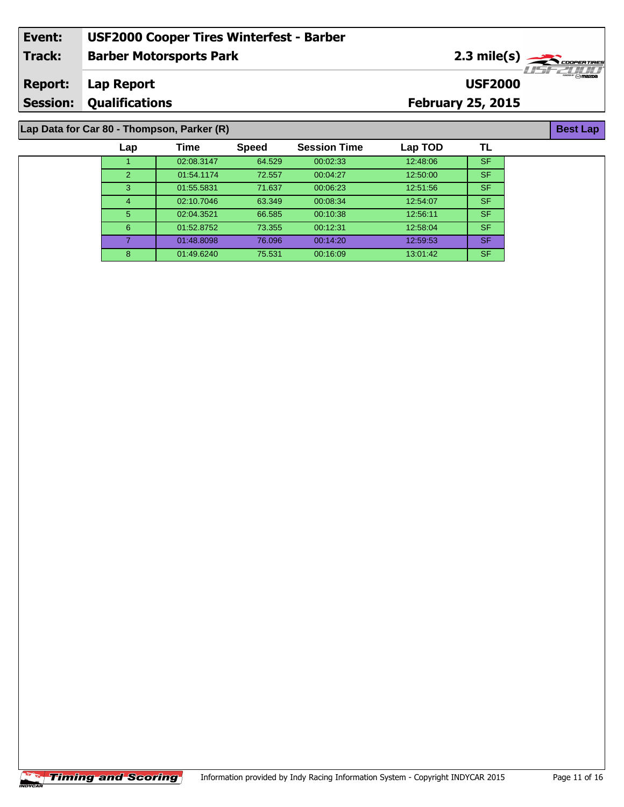| Event:         | <b>USF2000 Cooper Tires Winterfest - Barber</b> |                          |                                                              |
|----------------|-------------------------------------------------|--------------------------|--------------------------------------------------------------|
| <b>Track:</b>  | <b>Barber Motorsports Park</b>                  |                          | $2.3$ mile(s) $\rightarrow$ CODPERTIRES<br><i>·LISEZILID</i> |
| <b>Report:</b> | Lap Report                                      | <b>USF2000</b>           | $\overbrace{m}$                                              |
|                | <b>Session: Qualifications</b>                  | <b>February 25, 2015</b> |                                                              |
|                | Lap Data for Car 80 - Thompson, Parker (R)      |                          | <b>Best Lap</b>                                              |
|                |                                                 |                          |                                                              |

| Lap | Time       | <b>Speed</b> | <b>Session Time</b> | Lap TOD  | TL        |
|-----|------------|--------------|---------------------|----------|-----------|
|     | 02:08.3147 | 64.529       | 00:02:33            | 12:48:06 | <b>SF</b> |
| 2   | 01:54.1174 | 72.557       | 00:04:27            | 12:50:00 | <b>SF</b> |
| 3.  | 01:55.5831 | 71.637       | 00:06:23            | 12:51:56 | <b>SF</b> |
| 4   | 02:10.7046 | 63.349       | 00:08:34            | 12:54:07 | <b>SF</b> |
| 5.  | 02:04.3521 | 66.585       | 00:10:38            | 12:56:11 | <b>SF</b> |
| 6   | 01:52.8752 | 73.355       | 00:12:31            | 12:58:04 | <b>SF</b> |
|     | 01:48.8098 | 76.096       | 00:14:20            | 12:59:53 | <b>SF</b> |
| 8   | 01:49.6240 | 75.531       | 00:16:09            | 13:01:42 | <b>SF</b> |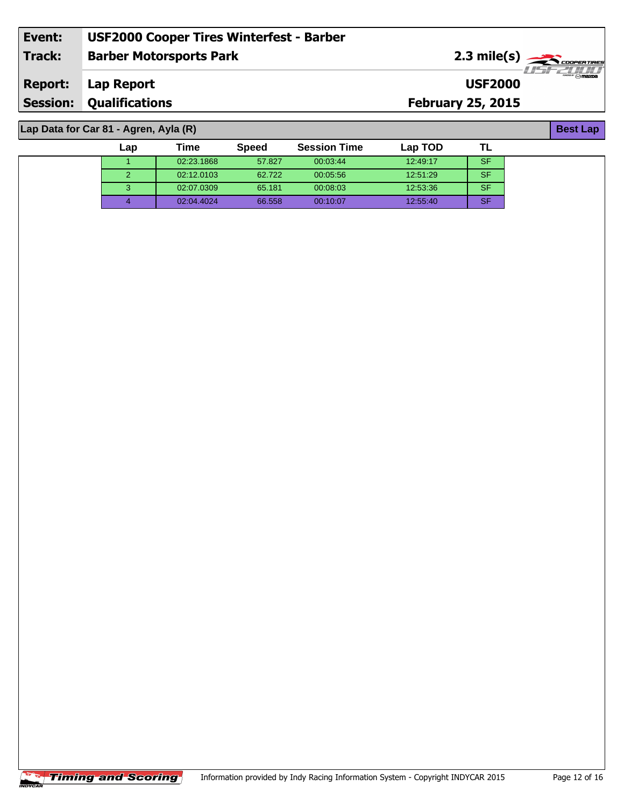| Event:          | <b>USF2000 Cooper Tires Winterfest - Barber</b> |                          |                        |
|-----------------|-------------------------------------------------|--------------------------|------------------------|
| Track:          | <b>Barber Motorsports Park</b>                  | $2.3 \text{ mile(s)}$    |                        |
| <b>Report:</b>  | Lap Report                                      | <b>USF2000</b>           | $\sqrt[m]{\text{max}}$ |
| <b>Session:</b> | <b>Qualifications</b>                           | <b>February 25, 2015</b> |                        |
|                 |                                                 |                          |                        |

1 02:23.1868 57.827 00:03:44 12:49:17 SF 02:12.0103 62.722 00:05:56 12:51:29 SF 02:07.0309 65.181 00:08:03 12:53:36 SF 02:04.4024 66.558 00:10:07 12:55:40 SF

**Lap Time Speed Session Time Lap TOD**

#### **Lap Data for Car 81 - Agren, Ayla (R)**

| ST 1<br>a an<br>l |
|-------------------|

**TL**

|  | <b>Fiming and Scoring'</b> |  |
|--|----------------------------|--|
|  |                            |  |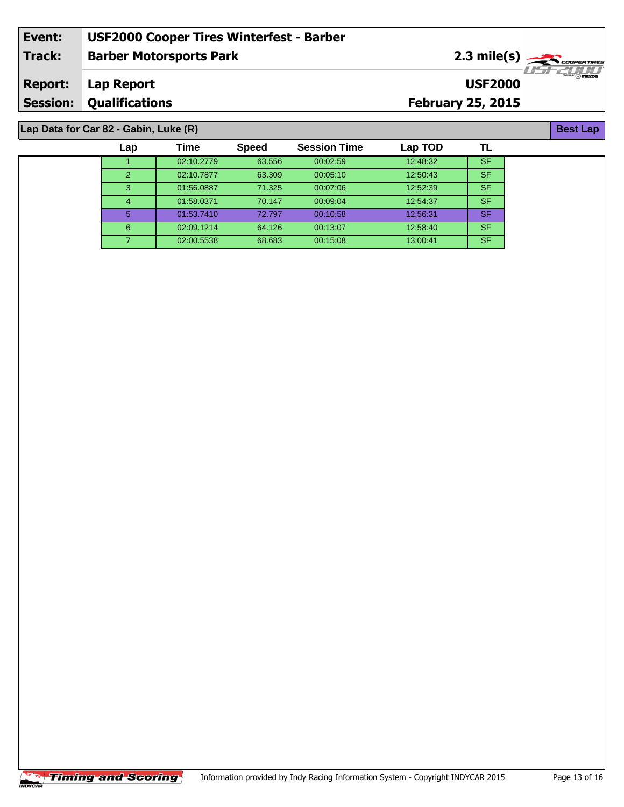| Event: | <b>USF2000 Cooper Tires Winterfest - Barber</b> |                                                                                        |  |
|--------|-------------------------------------------------|----------------------------------------------------------------------------------------|--|
| Track: | <b>Barber Motorsports Park</b>                  | $2.3$ mile(s) $\frac{1}{\sqrt{2.560 \text{Fermes}}}}$<br>- 1151 <del>- 7</del> 11 1111 |  |
|        | <b>Report:</b> Lap Report                       | $\overline{\phantom{m}}$<br><b>USF2000</b>                                             |  |
|        | <b>Session: Qualifications</b>                  | <b>February 25, 2015</b>                                                               |  |
|        |                                                 |                                                                                        |  |

### **Lap Data for Car 82 - Gabin, Luke (R)**

| Lap            | Time       | <b>Speed</b> | <b>Session Time</b> | Lap TOD  | TL        |  |
|----------------|------------|--------------|---------------------|----------|-----------|--|
|                | 02:10.2779 | 63.556       | 00:02:59            | 12:48:32 | <b>SF</b> |  |
| $\mathcal{P}$  | 02:10.7877 | 63.309       | 00:05:10            | 12:50:43 | <b>SF</b> |  |
| 3              | 01:56.0887 | 71.325       | 00:07:06            | 12:52:39 | <b>SF</b> |  |
| $\overline{4}$ | 01:58.0371 | 70.147       | 00:09:04            | 12:54:37 | <b>SF</b> |  |
| 5              | 01:53.7410 | 72.797       | 00:10:58            | 12:56:31 | <b>SF</b> |  |
| 6              | 02:09.1214 | 64.126       | 00:13:07            | 12:58:40 | <b>SF</b> |  |
|                | 02:00.5538 | 68.683       | 00:15:08            | 13:00:41 | <b>SF</b> |  |

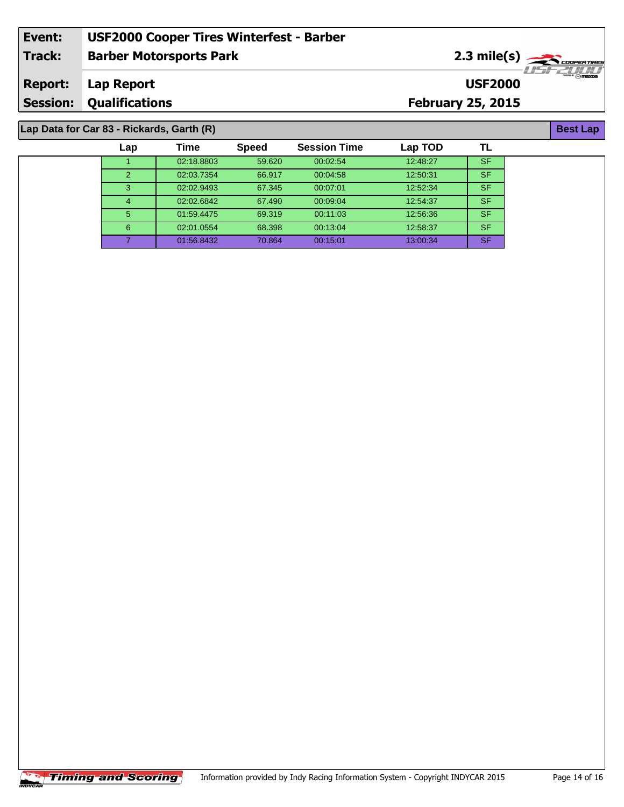| Event:                                    | <b>USF2000 Cooper Tires Winterfest - Barber</b> |                          |  |                  |  |  |
|-------------------------------------------|-------------------------------------------------|--------------------------|--|------------------|--|--|
| Track:                                    | <b>Barber Motorsports Park</b>                  | $2.3 \text{ mile(s)}$    |  |                  |  |  |
| <b>Report:</b>                            | Lap Report                                      | <b>USF2000</b>           |  | $-1157771/1/1/2$ |  |  |
|                                           | <b>Session: Qualifications</b>                  | <b>February 25, 2015</b> |  |                  |  |  |
|                                           |                                                 |                          |  |                  |  |  |
| Lap Data for Car 83 - Rickards, Garth (R) |                                                 |                          |  |                  |  |  |

**TL**

# 1 02:18.8803 59.620 00:02:54 12:48:27 SF **Lap Time Speed Session Time Lap TOD Lap Data for Car 83 - Rickards, Garth (R)**

|   | <u>UZ. IU.UUUJ</u> | JJ.UZU | <u>UU.UZ.JT</u> | 14.40.47 | ഄ         |
|---|--------------------|--------|-----------------|----------|-----------|
| 2 | 02:03.7354         | 66.917 | 00:04:58        | 12:50:31 | <b>SF</b> |
| 3 | 02:02.9493         | 67.345 | 00:07:01        | 12:52:34 | <b>SF</b> |
| 4 | 02:02.6842         | 67.490 | 00:09:04        | 12:54:37 | <b>SF</b> |
| 5 | 01:59.4475         | 69.319 | 00:11:03        | 12:56:36 | <b>SF</b> |
| 6 | 02:01.0554         | 68.398 | 00:13:04        | 12:58:37 | <b>SF</b> |
|   | 01:56.8432         | 70.864 | 00:15:01        | 13:00:34 | <b>SF</b> |

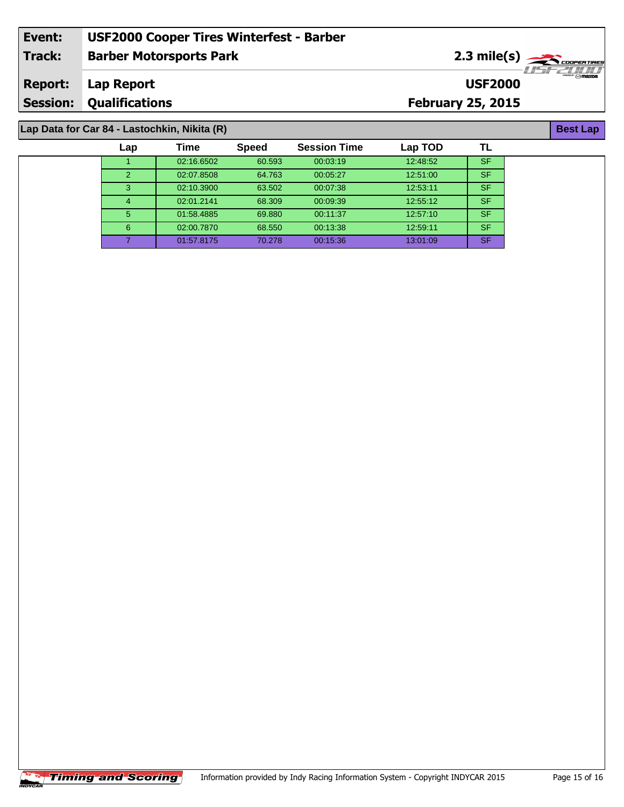| Event:                                       | <b>USF2000 Cooper Tires Winterfest - Barber</b> |                          |                                         |  |  |  |
|----------------------------------------------|-------------------------------------------------|--------------------------|-----------------------------------------|--|--|--|
| Track:                                       | <b>Barber Motorsports Park</b>                  |                          | $2.3$ mile(s) $\rightarrow$ COOPERTIRES |  |  |  |
| <b>Report:</b>                               | Lap Report                                      | <b>USF2000</b>           | $-1157721111$                           |  |  |  |
|                                              | <b>Session: Qualifications</b>                  | <b>February 25, 2015</b> |                                         |  |  |  |
|                                              |                                                 |                          |                                         |  |  |  |
| Lap Data for Car 84 - Lastochkin, Nikita (R) |                                                 |                          |                                         |  |  |  |

# **Lap Data for Car 84 - Lastochkin, Nikita (R)**

| Lap           | Time       | <b>Speed</b> | <b>Session Time</b> | Lap TOD  | TL        |
|---------------|------------|--------------|---------------------|----------|-----------|
|               | 02:16.6502 | 60.593       | 00:03:19            | 12:48:52 | <b>SF</b> |
| $\mathcal{P}$ | 02:07.8508 | 64.763       | 00:05:27            | 12:51:00 | <b>SF</b> |
| 3             | 02:10.3900 | 63.502       | 00:07:38            | 12:53:11 | <b>SF</b> |
| 4             | 02:01.2141 | 68.309       | 00:09:39            | 12:55:12 | <b>SF</b> |
| 5             | 01:58.4885 | 69.880       | 00:11:37            | 12:57:10 | <b>SF</b> |
| 6             | 02:00.7870 | 68.550       | 00:13:38            | 12:59:11 | <b>SF</b> |
|               | 01:57.8175 | 70.278       | 00:15:36            | 13:01:09 | <b>SF</b> |